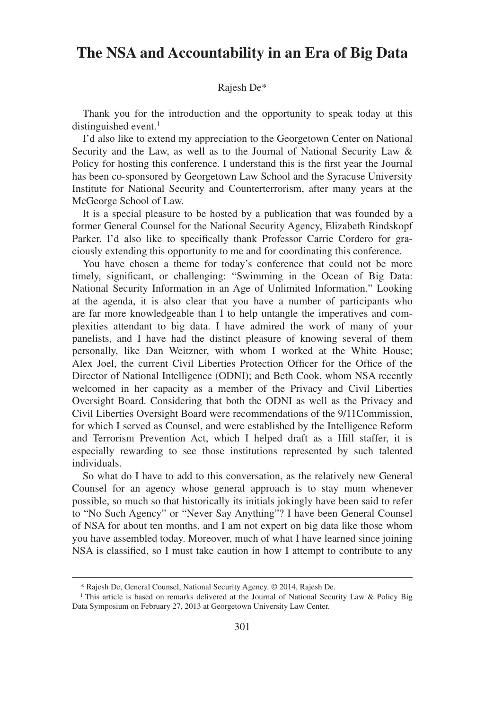## **The NSA and Accountability in an Era of Big Data**

## Rajesh De\*

Thank you for the introduction and the opportunity to speak today at this distinguished event.<sup>1</sup>

I'd also like to extend my appreciation to the Georgetown Center on National Security and the Law, as well as to the Journal of National Security Law & Policy for hosting this conference. I understand this is the first year the Journal has been co-sponsored by Georgetown Law School and the Syracuse University Institute for National Security and Counterterrorism, after many years at the McGeorge School of Law.

It is a special pleasure to be hosted by a publication that was founded by a former General Counsel for the National Security Agency, Elizabeth Rindskopf Parker. I'd also like to specifically thank Professor Carrie Cordero for graciously extending this opportunity to me and for coordinating this conference.

You have chosen a theme for today's conference that could not be more timely, significant, or challenging: "Swimming in the Ocean of Big Data: National Security Information in an Age of Unlimited Information." Looking at the agenda, it is also clear that you have a number of participants who are far more knowledgeable than I to help untangle the imperatives and complexities attendant to big data. I have admired the work of many of your panelists, and I have had the distinct pleasure of knowing several of them personally, like Dan Weitzner, with whom I worked at the White House; Alex Joel, the current Civil Liberties Protection Officer for the Office of the Director of National Intelligence (ODNI); and Beth Cook, whom NSA recently welcomed in her capacity as a member of the Privacy and Civil Liberties Oversight Board. Considering that both the ODNI as well as the Privacy and Civil Liberties Oversight Board were recommendations of the 9/11Commission, for which I served as Counsel, and were established by the Intelligence Reform and Terrorism Prevention Act, which I helped draft as a Hill staffer, it is especially rewarding to see those institutions represented by such talented individuals.

So what do I have to add to this conversation, as the relatively new General Counsel for an agency whose general approach is to stay mum whenever possible, so much so that historically its initials jokingly have been said to refer to "No Such Agency" or "Never Say Anything"? I have been General Counsel of NSA for about ten months, and I am not expert on big data like those whom you have assembled today. Moreover, much of what I have learned since joining NSA is classified, so I must take caution in how I attempt to contribute to any

<sup>\*</sup> Rajesh De, General Counsel, National Security Agency. © 2014, Rajesh De.

<sup>&</sup>lt;sup>1</sup> This article is based on remarks delivered at the Journal of National Security Law & Policy Big Data Symposium on February 27, 2013 at Georgetown University Law Center.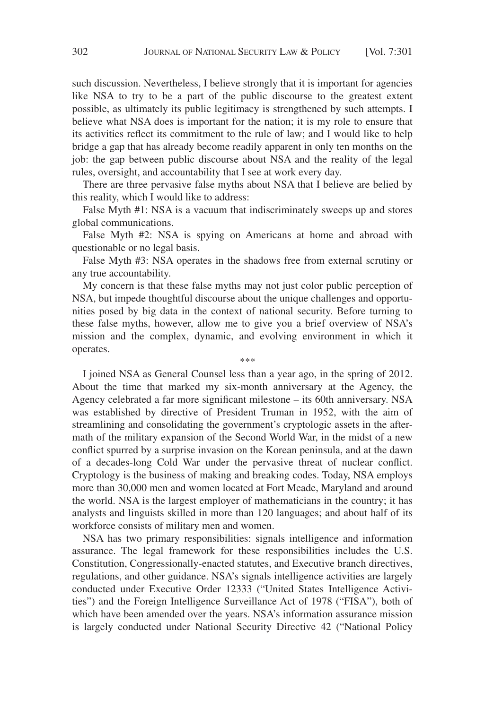such discussion. Nevertheless, I believe strongly that it is important for agencies like NSA to try to be a part of the public discourse to the greatest extent possible, as ultimately its public legitimacy is strengthened by such attempts. I believe what NSA does is important for the nation; it is my role to ensure that its activities reflect its commitment to the rule of law; and I would like to help bridge a gap that has already become readily apparent in only ten months on the job: the gap between public discourse about NSA and the reality of the legal rules, oversight, and accountability that I see at work every day.

There are three pervasive false myths about NSA that I believe are belied by this reality, which I would like to address:

False Myth #1: NSA is a vacuum that indiscriminately sweeps up and stores global communications.

False Myth #2: NSA is spying on Americans at home and abroad with questionable or no legal basis.

False Myth #3: NSA operates in the shadows free from external scrutiny or any true accountability.

My concern is that these false myths may not just color public perception of NSA, but impede thoughtful discourse about the unique challenges and opportunities posed by big data in the context of national security. Before turning to these false myths, however, allow me to give you a brief overview of NSA's mission and the complex, dynamic, and evolving environment in which it operates.

\*\*\*

I joined NSA as General Counsel less than a year ago, in the spring of 2012. About the time that marked my six-month anniversary at the Agency, the Agency celebrated a far more significant milestone – its 60th anniversary. NSA was established by directive of President Truman in 1952, with the aim of streamlining and consolidating the government's cryptologic assets in the aftermath of the military expansion of the Second World War, in the midst of a new conflict spurred by a surprise invasion on the Korean peninsula, and at the dawn of a decades-long Cold War under the pervasive threat of nuclear conflict. Cryptology is the business of making and breaking codes. Today, NSA employs more than 30,000 men and women located at Fort Meade, Maryland and around the world. NSA is the largest employer of mathematicians in the country; it has analysts and linguists skilled in more than 120 languages; and about half of its workforce consists of military men and women.

NSA has two primary responsibilities: signals intelligence and information assurance. The legal framework for these responsibilities includes the U.S. Constitution, Congressionally-enacted statutes, and Executive branch directives, regulations, and other guidance. NSA's signals intelligence activities are largely conducted under Executive Order 12333 ("United States Intelligence Activities") and the Foreign Intelligence Surveillance Act of 1978 ("FISA"), both of which have been amended over the years. NSA's information assurance mission is largely conducted under National Security Directive 42 ("National Policy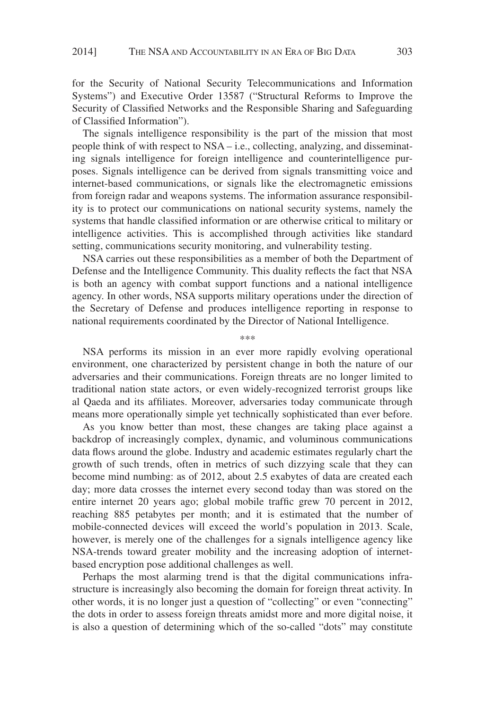for the Security of National Security Telecommunications and Information Systems") and Executive Order 13587 ("Structural Reforms to Improve the Security of Classified Networks and the Responsible Sharing and Safeguarding of Classified Information").

The signals intelligence responsibility is the part of the mission that most people think of with respect to NSA – i.e., collecting, analyzing, and disseminating signals intelligence for foreign intelligence and counterintelligence purposes. Signals intelligence can be derived from signals transmitting voice and internet-based communications, or signals like the electromagnetic emissions from foreign radar and weapons systems. The information assurance responsibility is to protect our communications on national security systems, namely the systems that handle classified information or are otherwise critical to military or intelligence activities. This is accomplished through activities like standard setting, communications security monitoring, and vulnerability testing.

NSA carries out these responsibilities as a member of both the Department of Defense and the Intelligence Community. This duality reflects the fact that NSA is both an agency with combat support functions and a national intelligence agency. In other words, NSA supports military operations under the direction of the Secretary of Defense and produces intelligence reporting in response to national requirements coordinated by the Director of National Intelligence.

NSA performs its mission in an ever more rapidly evolving operational environment, one characterized by persistent change in both the nature of our adversaries and their communications. Foreign threats are no longer limited to traditional nation state actors, or even widely-recognized terrorist groups like al Qaeda and its affiliates. Moreover, adversaries today communicate through means more operationally simple yet technically sophisticated than ever before.

As you know better than most, these changes are taking place against a backdrop of increasingly complex, dynamic, and voluminous communications data flows around the globe. Industry and academic estimates regularly chart the growth of such trends, often in metrics of such dizzying scale that they can become mind numbing: as of 2012, about 2.5 exabytes of data are created each day; more data crosses the internet every second today than was stored on the entire internet 20 years ago; global mobile traffic grew 70 percent in 2012, reaching 885 petabytes per month; and it is estimated that the number of mobile-connected devices will exceed the world's population in 2013. Scale, however, is merely one of the challenges for a signals intelligence agency like NSA-trends toward greater mobility and the increasing adoption of internetbased encryption pose additional challenges as well.

Perhaps the most alarming trend is that the digital communications infrastructure is increasingly also becoming the domain for foreign threat activity. In other words, it is no longer just a question of "collecting" or even "connecting" the dots in order to assess foreign threats amidst more and more digital noise, it is also a question of determining which of the so-called "dots" may constitute

\*\*\*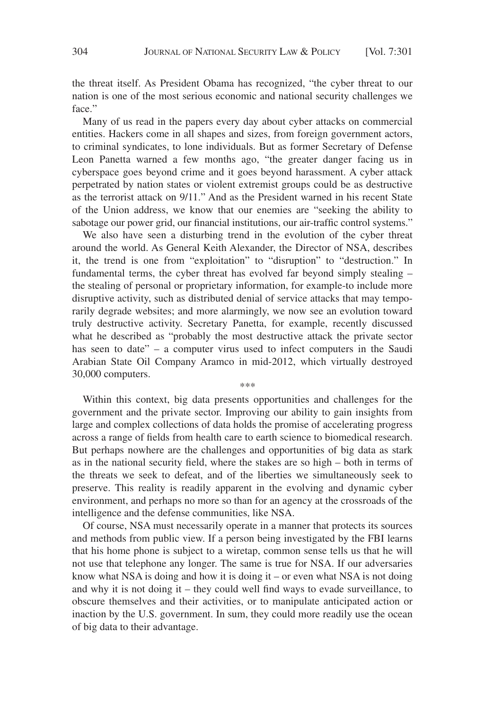the threat itself. As President Obama has recognized, "the cyber threat to our nation is one of the most serious economic and national security challenges we face."

Many of us read in the papers every day about cyber attacks on commercial entities. Hackers come in all shapes and sizes, from foreign government actors, to criminal syndicates, to lone individuals. But as former Secretary of Defense Leon Panetta warned a few months ago, "the greater danger facing us in cyberspace goes beyond crime and it goes beyond harassment. A cyber attack perpetrated by nation states or violent extremist groups could be as destructive as the terrorist attack on 9/11." And as the President warned in his recent State of the Union address, we know that our enemies are "seeking the ability to sabotage our power grid, our financial institutions, our air-traffic control systems."

We also have seen a disturbing trend in the evolution of the cyber threat around the world. As General Keith Alexander, the Director of NSA, describes it, the trend is one from "exploitation" to "disruption" to "destruction." In fundamental terms, the cyber threat has evolved far beyond simply stealing – the stealing of personal or proprietary information, for example-to include more disruptive activity, such as distributed denial of service attacks that may temporarily degrade websites; and more alarmingly, we now see an evolution toward truly destructive activity. Secretary Panetta, for example, recently discussed what he described as "probably the most destructive attack the private sector has seen to date" – a computer virus used to infect computers in the Saudi Arabian State Oil Company Aramco in mid-2012, which virtually destroyed 30,000 computers.

Within this context, big data presents opportunities and challenges for the government and the private sector. Improving our ability to gain insights from large and complex collections of data holds the promise of accelerating progress across a range of fields from health care to earth science to biomedical research. But perhaps nowhere are the challenges and opportunities of big data as stark as in the national security field, where the stakes are so high – both in terms of the threats we seek to defeat, and of the liberties we simultaneously seek to preserve. This reality is readily apparent in the evolving and dynamic cyber environment, and perhaps no more so than for an agency at the crossroads of the intelligence and the defense communities, like NSA.

\*\*\*

Of course, NSA must necessarily operate in a manner that protects its sources and methods from public view. If a person being investigated by the FBI learns that his home phone is subject to a wiretap, common sense tells us that he will not use that telephone any longer. The same is true for NSA. If our adversaries know what NSA is doing and how it is doing it – or even what NSA is not doing and why it is not doing it – they could well find ways to evade surveillance, to obscure themselves and their activities, or to manipulate anticipated action or inaction by the U.S. government. In sum, they could more readily use the ocean of big data to their advantage.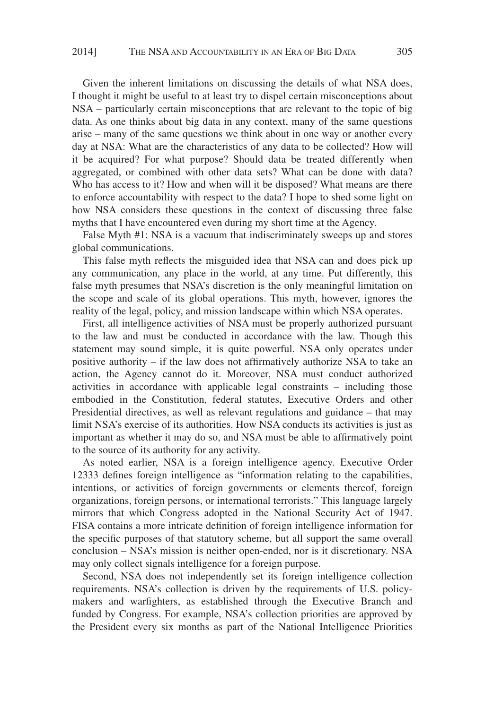Given the inherent limitations on discussing the details of what NSA does, I thought it might be useful to at least try to dispel certain misconceptions about NSA – particularly certain misconceptions that are relevant to the topic of big data. As one thinks about big data in any context, many of the same questions arise – many of the same questions we think about in one way or another every day at NSA: What are the characteristics of any data to be collected? How will it be acquired? For what purpose? Should data be treated differently when aggregated, or combined with other data sets? What can be done with data? Who has access to it? How and when will it be disposed? What means are there to enforce accountability with respect to the data? I hope to shed some light on how NSA considers these questions in the context of discussing three false myths that I have encountered even during my short time at the Agency.

False Myth #1: NSA is a vacuum that indiscriminately sweeps up and stores global communications.

This false myth reflects the misguided idea that NSA can and does pick up any communication, any place in the world, at any time. Put differently, this false myth presumes that NSA's discretion is the only meaningful limitation on the scope and scale of its global operations. This myth, however, ignores the reality of the legal, policy, and mission landscape within which NSA operates.

First, all intelligence activities of NSA must be properly authorized pursuant to the law and must be conducted in accordance with the law. Though this statement may sound simple, it is quite powerful. NSA only operates under positive authority – if the law does not affirmatively authorize NSA to take an action, the Agency cannot do it. Moreover, NSA must conduct authorized activities in accordance with applicable legal constraints – including those embodied in the Constitution, federal statutes, Executive Orders and other Presidential directives, as well as relevant regulations and guidance – that may limit NSA's exercise of its authorities. How NSA conducts its activities is just as important as whether it may do so, and NSA must be able to affirmatively point to the source of its authority for any activity.

As noted earlier, NSA is a foreign intelligence agency. Executive Order 12333 defines foreign intelligence as "information relating to the capabilities, intentions, or activities of foreign governments or elements thereof, foreign organizations, foreign persons, or international terrorists." This language largely mirrors that which Congress adopted in the National Security Act of 1947. FISA contains a more intricate definition of foreign intelligence information for the specific purposes of that statutory scheme, but all support the same overall conclusion – NSA's mission is neither open-ended, nor is it discretionary. NSA may only collect signals intelligence for a foreign purpose.

Second, NSA does not independently set its foreign intelligence collection requirements. NSA's collection is driven by the requirements of U.S. policymakers and warfighters, as established through the Executive Branch and funded by Congress. For example, NSA's collection priorities are approved by the President every six months as part of the National Intelligence Priorities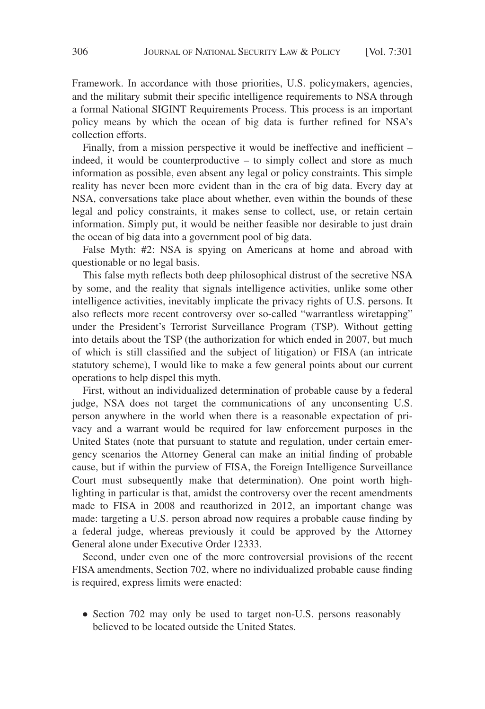Framework. In accordance with those priorities, U.S. policymakers, agencies, and the military submit their specific intelligence requirements to NSA through a formal National SIGINT Requirements Process. This process is an important policy means by which the ocean of big data is further refined for NSA's collection efforts.

Finally, from a mission perspective it would be ineffective and inefficient – indeed, it would be counterproductive – to simply collect and store as much information as possible, even absent any legal or policy constraints. This simple reality has never been more evident than in the era of big data. Every day at NSA, conversations take place about whether, even within the bounds of these legal and policy constraints, it makes sense to collect, use, or retain certain information. Simply put, it would be neither feasible nor desirable to just drain the ocean of big data into a government pool of big data.

False Myth: #2: NSA is spying on Americans at home and abroad with questionable or no legal basis.

This false myth reflects both deep philosophical distrust of the secretive NSA by some, and the reality that signals intelligence activities, unlike some other intelligence activities, inevitably implicate the privacy rights of U.S. persons. It also reflects more recent controversy over so-called "warrantless wiretapping" under the President's Terrorist Surveillance Program (TSP). Without getting into details about the TSP (the authorization for which ended in 2007, but much of which is still classified and the subject of litigation) or FISA (an intricate statutory scheme), I would like to make a few general points about our current operations to help dispel this myth.

First, without an individualized determination of probable cause by a federal judge, NSA does not target the communications of any unconsenting U.S. person anywhere in the world when there is a reasonable expectation of privacy and a warrant would be required for law enforcement purposes in the United States (note that pursuant to statute and regulation, under certain emergency scenarios the Attorney General can make an initial finding of probable cause, but if within the purview of FISA, the Foreign Intelligence Surveillance Court must subsequently make that determination). One point worth highlighting in particular is that, amidst the controversy over the recent amendments made to FISA in 2008 and reauthorized in 2012, an important change was made: targeting a U.S. person abroad now requires a probable cause finding by a federal judge, whereas previously it could be approved by the Attorney General alone under Executive Order 12333.

Second, under even one of the more controversial provisions of the recent FISA amendments, Section 702, where no individualized probable cause finding is required, express limits were enacted:

• Section 702 may only be used to target non-U.S. persons reasonably believed to be located outside the United States.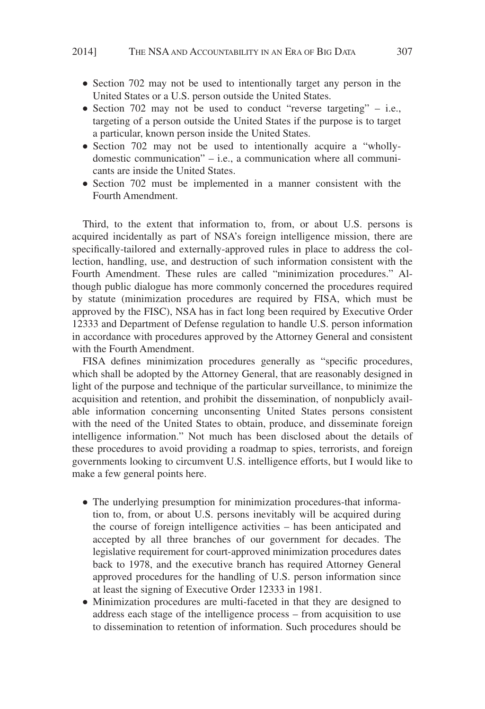- Section 702 may not be used to intentionally target any person in the United States or a U.S. person outside the United States.
- Section 702 may not be used to conduct "reverse targeting"  $-$  i.e., targeting of a person outside the United States if the purpose is to target a particular, known person inside the United States.
- Section 702 may not be used to intentionally acquire a "whollydomestic communication" – i.e., a communication where all communicants are inside the United States.
- Section 702 must be implemented in a manner consistent with the Fourth Amendment.

Third, to the extent that information to, from, or about U.S. persons is acquired incidentally as part of NSA's foreign intelligence mission, there are specifically-tailored and externally-approved rules in place to address the collection, handling, use, and destruction of such information consistent with the Fourth Amendment. These rules are called "minimization procedures." Although public dialogue has more commonly concerned the procedures required by statute (minimization procedures are required by FISA, which must be approved by the FISC), NSA has in fact long been required by Executive Order 12333 and Department of Defense regulation to handle U.S. person information in accordance with procedures approved by the Attorney General and consistent with the Fourth Amendment.

FISA defines minimization procedures generally as "specific procedures, which shall be adopted by the Attorney General, that are reasonably designed in light of the purpose and technique of the particular surveillance, to minimize the acquisition and retention, and prohibit the dissemination, of nonpublicly available information concerning unconsenting United States persons consistent with the need of the United States to obtain, produce, and disseminate foreign intelligence information." Not much has been disclosed about the details of these procedures to avoid providing a roadmap to spies, terrorists, and foreign governments looking to circumvent U.S. intelligence efforts, but I would like to make a few general points here.

- The underlying presumption for minimization procedures-that information to, from, or about U.S. persons inevitably will be acquired during the course of foreign intelligence activities – has been anticipated and accepted by all three branches of our government for decades. The legislative requirement for court-approved minimization procedures dates back to 1978, and the executive branch has required Attorney General approved procedures for the handling of U.S. person information since at least the signing of Executive Order 12333 in 1981.
- Minimization procedures are multi-faceted in that they are designed to address each stage of the intelligence process – from acquisition to use to dissemination to retention of information. Such procedures should be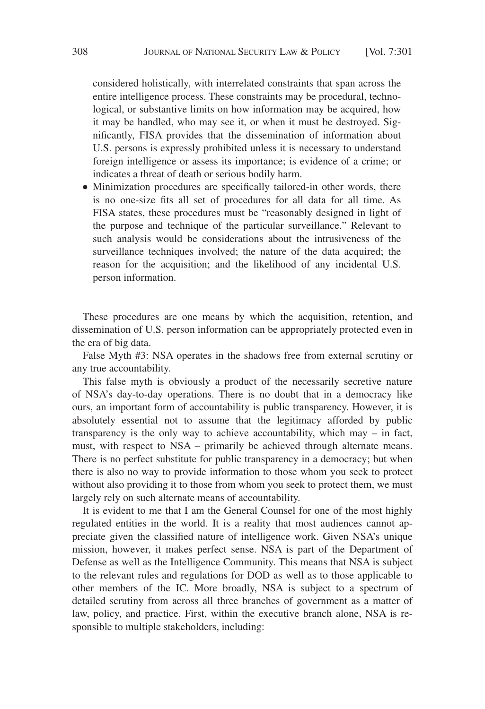considered holistically, with interrelated constraints that span across the entire intelligence process. These constraints may be procedural, technological, or substantive limits on how information may be acquired, how it may be handled, who may see it, or when it must be destroyed. Significantly, FISA provides that the dissemination of information about U.S. persons is expressly prohibited unless it is necessary to understand foreign intelligence or assess its importance; is evidence of a crime; or indicates a threat of death or serious bodily harm.

• Minimization procedures are specifically tailored-in other words, there is no one-size fits all set of procedures for all data for all time. As FISA states, these procedures must be "reasonably designed in light of the purpose and technique of the particular surveillance." Relevant to such analysis would be considerations about the intrusiveness of the surveillance techniques involved; the nature of the data acquired; the reason for the acquisition; and the likelihood of any incidental U.S. person information.

These procedures are one means by which the acquisition, retention, and dissemination of U.S. person information can be appropriately protected even in the era of big data.

False Myth #3: NSA operates in the shadows free from external scrutiny or any true accountability.

This false myth is obviously a product of the necessarily secretive nature of NSA's day-to-day operations. There is no doubt that in a democracy like ours, an important form of accountability is public transparency. However, it is absolutely essential not to assume that the legitimacy afforded by public transparency is the only way to achieve accountability, which may – in fact, must, with respect to NSA – primarily be achieved through alternate means. There is no perfect substitute for public transparency in a democracy; but when there is also no way to provide information to those whom you seek to protect without also providing it to those from whom you seek to protect them, we must largely rely on such alternate means of accountability.

It is evident to me that I am the General Counsel for one of the most highly regulated entities in the world. It is a reality that most audiences cannot appreciate given the classified nature of intelligence work. Given NSA's unique mission, however, it makes perfect sense. NSA is part of the Department of Defense as well as the Intelligence Community. This means that NSA is subject to the relevant rules and regulations for DOD as well as to those applicable to other members of the IC. More broadly, NSA is subject to a spectrum of detailed scrutiny from across all three branches of government as a matter of law, policy, and practice. First, within the executive branch alone, NSA is responsible to multiple stakeholders, including: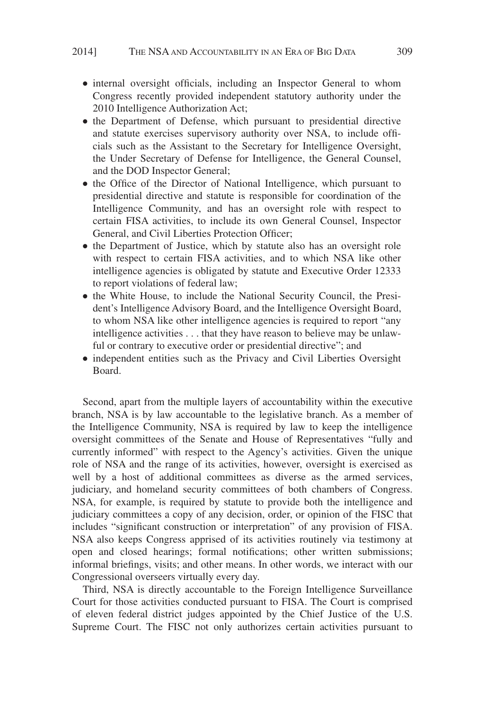- internal oversight officials, including an Inspector General to whom Congress recently provided independent statutory authority under the 2010 Intelligence Authorization Act;
- the Department of Defense, which pursuant to presidential directive and statute exercises supervisory authority over NSA, to include officials such as the Assistant to the Secretary for Intelligence Oversight, the Under Secretary of Defense for Intelligence, the General Counsel, and the DOD Inspector General;
- the Office of the Director of National Intelligence, which pursuant to presidential directive and statute is responsible for coordination of the Intelligence Community, and has an oversight role with respect to certain FISA activities, to include its own General Counsel, Inspector General, and Civil Liberties Protection Officer;
- the Department of Justice, which by statute also has an oversight role with respect to certain FISA activities, and to which NSA like other intelligence agencies is obligated by statute and Executive Order 12333 to report violations of federal law;
- the White House, to include the National Security Council, the President's Intelligence Advisory Board, and the Intelligence Oversight Board, to whom NSA like other intelligence agencies is required to report "any intelligence activities... that they have reason to believe may be unlawful or contrary to executive order or presidential directive"; and
- independent entities such as the Privacy and Civil Liberties Oversight Board.

Second, apart from the multiple layers of accountability within the executive branch, NSA is by law accountable to the legislative branch. As a member of the Intelligence Community, NSA is required by law to keep the intelligence oversight committees of the Senate and House of Representatives "fully and currently informed" with respect to the Agency's activities. Given the unique role of NSA and the range of its activities, however, oversight is exercised as well by a host of additional committees as diverse as the armed services, judiciary, and homeland security committees of both chambers of Congress. NSA, for example, is required by statute to provide both the intelligence and judiciary committees a copy of any decision, order, or opinion of the FISC that includes "significant construction or interpretation" of any provision of FISA. NSA also keeps Congress apprised of its activities routinely via testimony at open and closed hearings; formal notifications; other written submissions; informal briefings, visits; and other means. In other words, we interact with our Congressional overseers virtually every day.

Third, NSA is directly accountable to the Foreign Intelligence Surveillance Court for those activities conducted pursuant to FISA. The Court is comprised of eleven federal district judges appointed by the Chief Justice of the U.S. Supreme Court. The FISC not only authorizes certain activities pursuant to